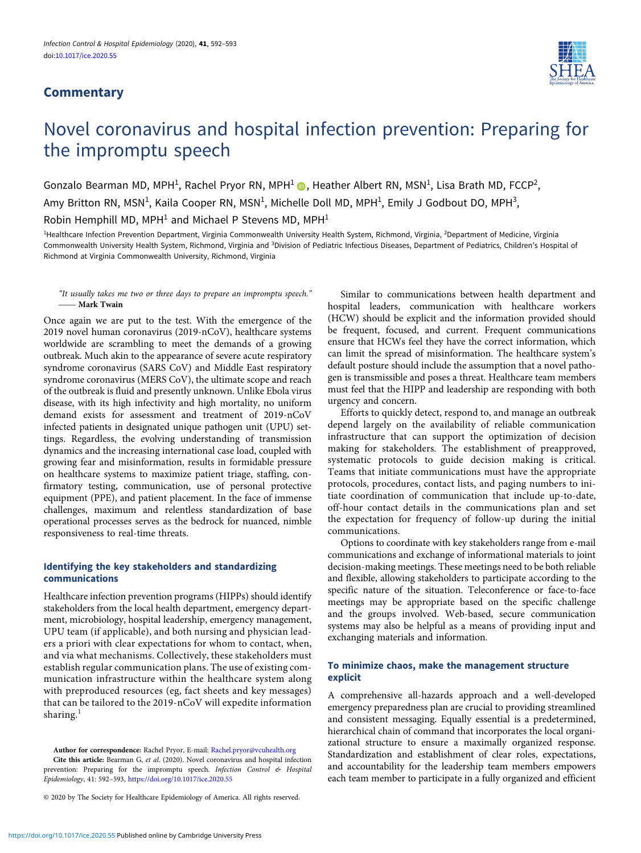## **Commentary**



# Novel coronavirus and hospital infection prevention: Preparing for the impromptu speech

Gonzalo Bearman MD, MPH<sup>1</sup>, Rachel Pryor RN, MPH<sup>1</sup>  $\bullet$ , Heather Albert RN, MSN<sup>1</sup>, Lisa Brath MD, FCCP<sup>2</sup>, Amy Britton RN, MSN<sup>1</sup>, Kaila Cooper RN, MSN<sup>1</sup>, Michelle Doll MD, MPH<sup>1</sup>, Emily J Godbout DO, MPH<sup>3</sup>, Robin Hemphill MD, MPH<sup>1</sup> and Michael P Stevens MD, MPH<sup>1</sup>

<sup>1</sup>Healthcare Infection Prevention Department, Virginia Commonwealth University Health System, Richmond, Virginia, <sup>2</sup>Department of Medicine, Virginia Commonwealth University Health System, Richmond, Virginia and <sup>3</sup>Division of Pediatric Infectious Diseases, Department of Pediatrics, Children's Hospital of Richmond at Virginia Commonwealth University, Richmond, Virginia

#### "It usually takes me two or three days to prepare an impromptu speech." – Mark Twain

Once again we are put to the test. With the emergence of the 2019 novel human coronavirus (2019-nCoV), healthcare systems worldwide are scrambling to meet the demands of a growing outbreak. Much akin to the appearance of severe acute respiratory syndrome coronavirus (SARS CoV) and Middle East respiratory syndrome coronavirus (MERS CoV), the ultimate scope and reach of the outbreak is fluid and presently unknown. Unlike Ebola virus disease, with its high infectivity and high mortality, no uniform demand exists for assessment and treatment of 2019-nCoV infected patients in designated unique pathogen unit (UPU) settings. Regardless, the evolving understanding of transmission dynamics and the increasing international case load, coupled with growing fear and misinformation, results in formidable pressure on healthcare systems to maximize patient triage, staffing, confirmatory testing, communication, use of personal protective equipment (PPE), and patient placement. In the face of immense challenges, maximum and relentless standardization of base operational processes serves as the bedrock for nuanced, nimble responsiveness to real-time threats.

## Identifying the key stakeholders and standardizing communications

Healthcare infection prevention programs (HIPPs) should identify stakeholders from the local health department, emergency department, microbiology, hospital leadership, emergency management, UPU team (if applicable), and both nursing and physician leaders a priori with clear expectations for whom to contact, when, and via what mechanisms. Collectively, these stakeholders must establish regular communication plans. The use of existing communication infrastructure within the healthcare system along with preproduced resources (eg, fact sheets and key messages) that can be tailored to the 2019-nCoV will expedite information sharing.<sup>[1](#page-1-0)</sup>

Author for correspondence: Rachel Pryor, E-mail: [Rachel.pryor@vcuhealth.org](mailto:Rachel.pryor@vcuhealth.org)

Cite this article: Bearman G, et al. (2020). Novel coronavirus and hospital infection prevention: Preparing for the impromptu speech. Infection Control & Hospital Epidemiology, 41: 592–593, <https://doi.org/10.1017/ice.2020.55>

© 2020 by The Society for Healthcare Epidemiology of America. All rights reserved.

Similar to communications between health department and hospital leaders, communication with healthcare workers (HCW) should be explicit and the information provided should be frequent, focused, and current. Frequent communications ensure that HCWs feel they have the correct information, which can limit the spread of misinformation. The healthcare system's default posture should include the assumption that a novel pathogen is transmissible and poses a threat. Healthcare team members must feel that the HIPP and leadership are responding with both urgency and concern.

Efforts to quickly detect, respond to, and manage an outbreak depend largely on the availability of reliable communication infrastructure that can support the optimization of decision making for stakeholders. The establishment of preapproved, systematic protocols to guide decision making is critical. Teams that initiate communications must have the appropriate protocols, procedures, contact lists, and paging numbers to initiate coordination of communication that include up-to-date, off-hour contact details in the communications plan and set the expectation for frequency of follow-up during the initial communications.

Options to coordinate with key stakeholders range from e-mail communications and exchange of informational materials to joint decision-making meetings. These meetings need to be both reliable and flexible, allowing stakeholders to participate according to the specific nature of the situation. Teleconference or face-to-face meetings may be appropriate based on the specific challenge and the groups involved. Web-based, secure communication systems may also be helpful as a means of providing input and exchanging materials and information.

## To minimize chaos, make the management structure explicit

A comprehensive all-hazards approach and a well-developed emergency preparedness plan are crucial to providing streamlined and consistent messaging. Equally essential is a predetermined, hierarchical chain of command that incorporates the local organizational structure to ensure a maximally organized response. Standardization and establishment of clear roles, expectations, and accountability for the leadership team members empowers each team member to participate in a fully organized and efficient